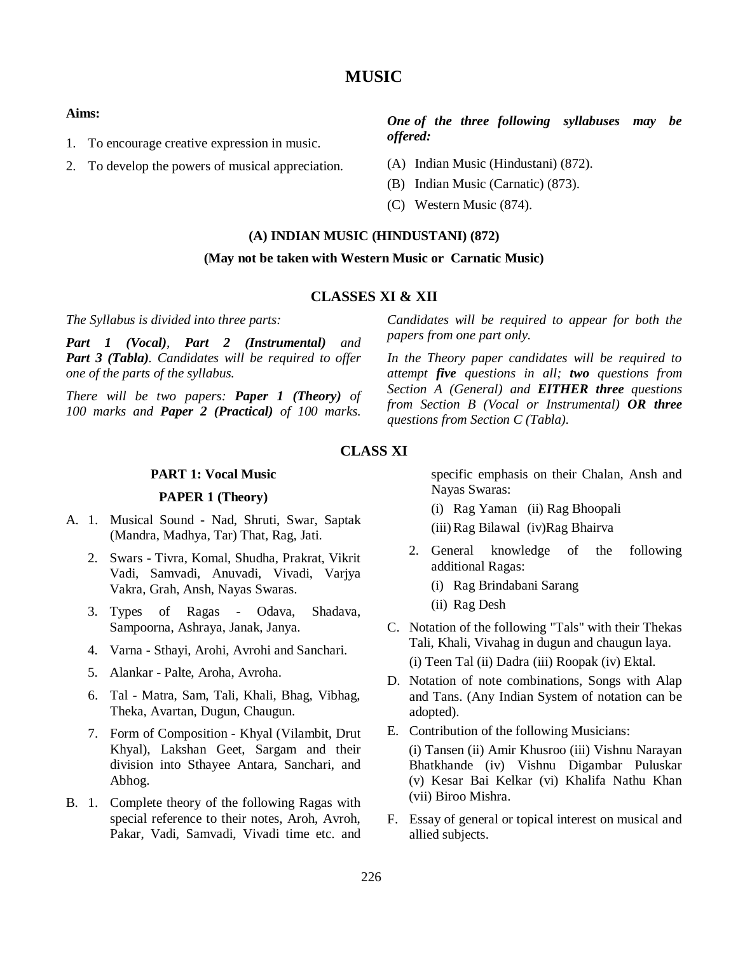# **MUSIC**

#### **Aims:**

- 1. To encourage creative expression in music.
- 2. To develop the powers of musical appreciation.

# *One of the three following syllabuses may be offered:*

- (A) Indian Music (Hindustani) (872).
- (B) Indian Music (Carnatic) (873).
- (C) Western Music (874).

#### **(A) INDIAN MUSIC (HINDUSTANI) (872)**

#### **(May not be taken with Western Music or Carnatic Music)**

## **CLASSES XI & XII**

*The Syllabus is divided into three parts:* 

*Part 1 (Vocal), Part 2 (Instrumental) and Part 3 (Tabla). Candidates will be required to offer one of the parts of the syllabus.*

*There will be two papers: Paper 1 (Theory) of 100 marks and Paper 2 (Practical) of 100 marks.* 

## *Candidates will be required to appear for both the papers from one part only.*

*In the Theory paper candidates will be required to attempt five questions in all; two questions from Section A (General) and EITHER three questions from Section B (Vocal or Instrumental) OR three questions from Section C (Tabla).*

## **CLASS XI**

## **PART 1: Vocal Music**

## **PAPER 1 (Theory)**

- A. 1. Musical Sound Nad, Shruti, Swar, Saptak (Mandra, Madhya, Tar) That, Rag, Jati.
	- 2. Swars Tivra, Komal, Shudha, Prakrat, Vikrit Vadi, Samvadi, Anuvadi, Vivadi, Varjya Vakra, Grah, Ansh, Nayas Swaras.
	- 3. Types of Ragas Odava, Shadava, Sampoorna, Ashraya, Janak, Janya.
	- 4. Varna Sthayi, Arohi, Avrohi and Sanchari.
	- 5. Alankar Palte, Aroha, Avroha.
	- 6. Tal Matra, Sam, Tali, Khali, Bhag, Vibhag, Theka, Avartan, Dugun, Chaugun.
	- 7. Form of Composition Khyal (Vilambit, Drut Khyal), Lakshan Geet, Sargam and their division into Sthayee Antara, Sanchari, and Abhog.
- B. 1. Complete theory of the following Ragas with special reference to their notes, Aroh, Avroh, Pakar, Vadi, Samvadi, Vivadi time etc. and

specific emphasis on their Chalan, Ansh and Nayas Swaras:

- (i) Rag Yaman (ii) Rag Bhoopali
- (iii)Rag Bilawal (iv)Rag Bhairva
- 2. General knowledge of the following additional Ragas:
	- (i) Rag Brindabani Sarang
	- (ii) Rag Desh
- C. Notation of the following "Tals" with their Thekas Tali, Khali, Vivahag in dugun and chaugun laya.

(i) Teen Tal (ii) Dadra (iii) Roopak (iv) Ektal.

- D. Notation of note combinations, Songs with Alap and Tans. (Any Indian System of notation can be adopted).
- E. Contribution of the following Musicians: (i) Tansen (ii) Amir Khusroo (iii) Vishnu Narayan Bhatkhande (iv) Vishnu Digambar Puluskar (v) Kesar Bai Kelkar (vi) Khalifa Nathu Khan (vii) Biroo Mishra.
- F. Essay of general or topical interest on musical and allied subjects.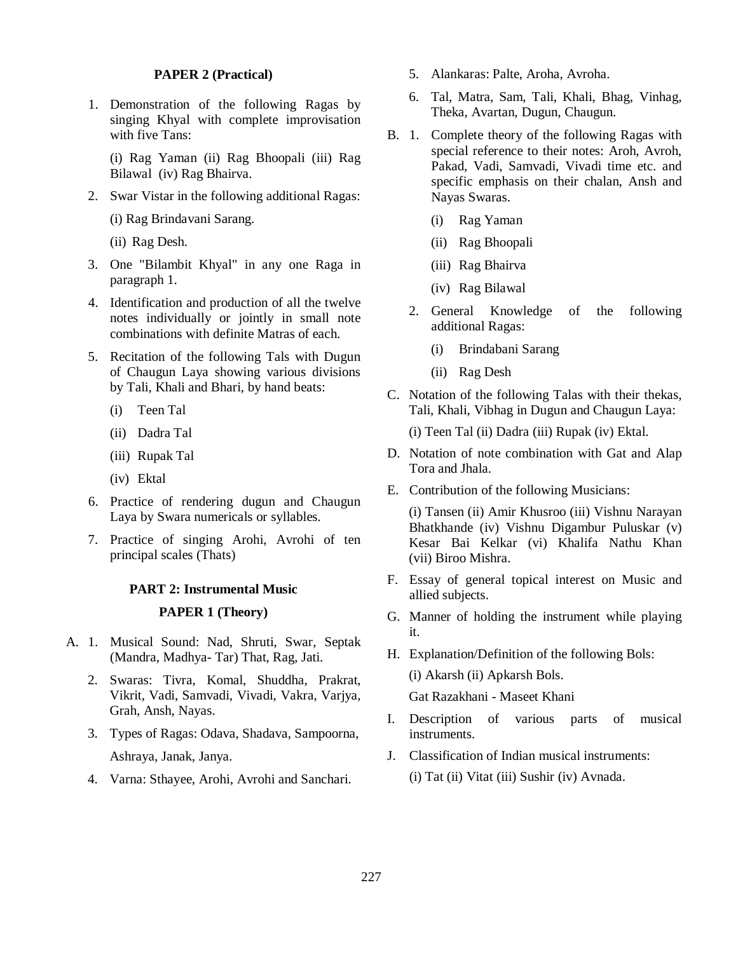## **PAPER 2 (Practical)**

1. Demonstration of the following Ragas by singing Khyal with complete improvisation with five Tans:

(i) Rag Yaman (ii) Rag Bhoopali (iii) Rag Bilawal (iv) Rag Bhairva.

2. Swar Vistar in the following additional Ragas:

(i) Rag Brindavani Sarang.

(ii) Rag Desh.

- 3. One "Bilambit Khyal" in any one Raga in paragraph 1.
- 4. Identification and production of all the twelve notes individually or jointly in small note combinations with definite Matras of each.
- 5. Recitation of the following Tals with Dugun of Chaugun Laya showing various divisions by Tali, Khali and Bhari, by hand beats:
	- (i) Teen Tal
	- (ii) Dadra Tal
	- (iii) Rupak Tal
	- (iv) Ektal
- 6. Practice of rendering dugun and Chaugun Laya by Swara numericals or syllables.
- 7. Practice of singing Arohi, Avrohi of ten principal scales (Thats)

#### **PART 2: Instrumental Music**

## **PAPER 1 (Theory)**

- A. 1. Musical Sound: Nad, Shruti, Swar, Septak (Mandra, Madhya- Tar) That, Rag, Jati.
	- 2. Swaras: Tivra, Komal, Shuddha, Prakrat, Vikrit, Vadi, Samvadi, Vivadi, Vakra, Varjya, Grah, Ansh, Nayas.
	- 3. Types of Ragas: Odava, Shadava, Sampoorna, Ashraya, Janak, Janya.
	- 4. Varna: Sthayee, Arohi, Avrohi and Sanchari.
- 5. Alankaras: Palte, Aroha, Avroha.
- 6. Tal, Matra, Sam, Tali, Khali, Bhag, Vinhag, Theka, Avartan, Dugun, Chaugun.
- B. 1. Complete theory of the following Ragas with special reference to their notes: Aroh, Avroh, Pakad, Vadi, Samvadi, Vivadi time etc. and specific emphasis on their chalan, Ansh and Nayas Swaras.
	- (i) Rag Yaman
	- (ii) Rag Bhoopali
	- (iii) Rag Bhairva
	- (iv) Rag Bilawal
	- 2. General Knowledge of the following additional Ragas:
		- (i) Brindabani Sarang
		- (ii) Rag Desh
- C. Notation of the following Talas with their thekas, Tali, Khali, Vibhag in Dugun and Chaugun Laya:

(i) Teen Tal (ii) Dadra (iii) Rupak (iv) Ektal.

- D. Notation of note combination with Gat and Alap Tora and Jhala.
- E. Contribution of the following Musicians:

(i) Tansen (ii) Amir Khusroo (iii) Vishnu Narayan Bhatkhande (iv) Vishnu Digambur Puluskar (v) Kesar Bai Kelkar (vi) Khalifa Nathu Khan (vii) Biroo Mishra.

- F. Essay of general topical interest on Music and allied subjects.
- G. Manner of holding the instrument while playing it.
- H. Explanation/Definition of the following Bols:

(i) Akarsh (ii) Apkarsh Bols.

Gat Razakhani - Maseet Khani

- I. Description of various parts of musical instruments.
- J. Classification of Indian musical instruments:

(i) Tat (ii) Vitat (iii) Sushir (iv) Avnada.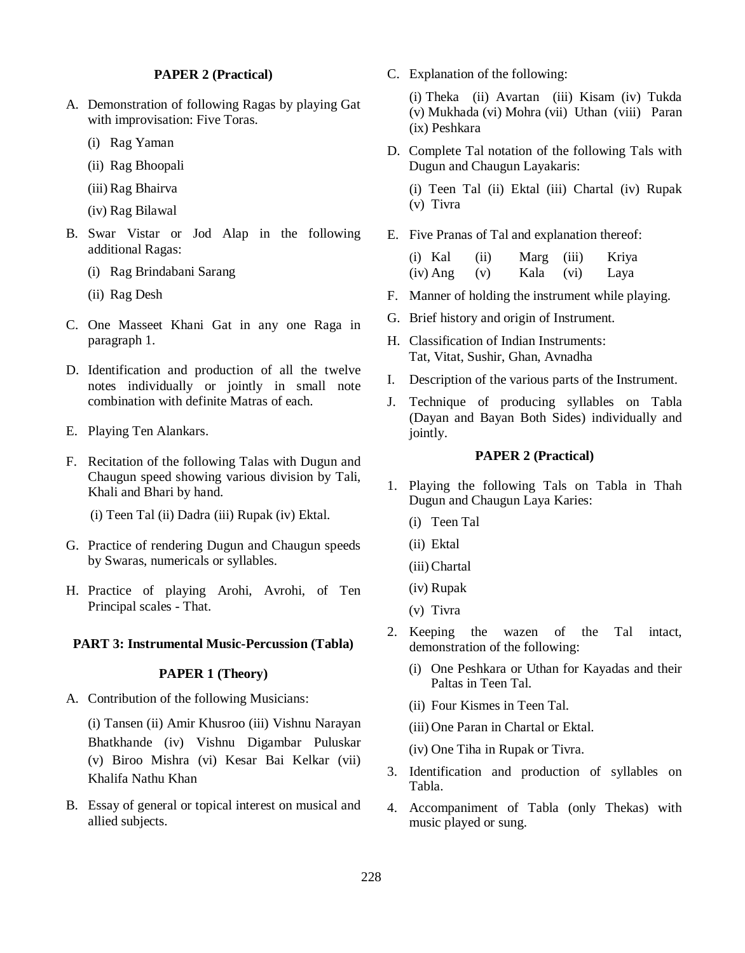## **PAPER 2 (Practical)**

- A. Demonstration of following Ragas by playing Gat with improvisation: Five Toras.
	- (i) Rag Yaman
	- (ii) Rag Bhoopali
	- (iii) Rag Bhairva
	- (iv) Rag Bilawal
- B. Swar Vistar or Jod Alap in the following additional Ragas:
	- (i) Rag Brindabani Sarang
	- (ii) Rag Desh
- C. One Masseet Khani Gat in any one Raga in paragraph 1.
- D. Identification and production of all the twelve notes individually or jointly in small note combination with definite Matras of each.
- E. Playing Ten Alankars.
- F. Recitation of the following Talas with Dugun and Chaugun speed showing various division by Tali, Khali and Bhari by hand.
	- (i) Teen Tal (ii) Dadra (iii) Rupak (iv) Ektal.
- G. Practice of rendering Dugun and Chaugun speeds by Swaras, numericals or syllables.
- H. Practice of playing Arohi, Avrohi, of Ten Principal scales - That.

## **PART 3: Instrumental Music-Percussion (Tabla)**

## **PAPER 1 (Theory)**

A. Contribution of the following Musicians:

(i) Tansen (ii) Amir Khusroo (iii) Vishnu Narayan Bhatkhande (iv) Vishnu Digambar Puluskar (v) Biroo Mishra (vi) Kesar Bai Kelkar (vii) Khalifa Nathu Khan

B. Essay of general or topical interest on musical and allied subjects.

C. Explanation of the following:

(i) Theka (ii) Avartan (iii) Kisam (iv) Tukda (v) Mukhada (vi) Mohra (vii) Uthan (viii) Paran (ix) Peshkara

D. Complete Tal notation of the following Tals with Dugun and Chaugun Layakaris:

(i) Teen Tal (ii) Ektal (iii) Chartal (iv) Rupak (v) Tivra

E. Five Pranas of Tal and explanation thereof:

| $(i)$ Kal  | (ii) | Marg (iii) |      | Kriya |
|------------|------|------------|------|-------|
| $(iv)$ Ang | (v)  | Kala       | (vi) | Laya  |

- F. Manner of holding the instrument while playing.
- G. Brief history and origin of Instrument.
- H. Classification of Indian Instruments: Tat, Vitat, Sushir, Ghan, Avnadha
- I. Description of the various parts of the Instrument.
- J. Technique of producing syllables on Tabla (Dayan and Bayan Both Sides) individually and jointly.

## **PAPER 2 (Practical)**

- 1. Playing the following Tals on Tabla in Thah Dugun and Chaugun Laya Karies:
	- (i) Teen Tal
	- (ii) Ektal
	- (iii) Chartal
	- (iv) Rupak
	- (v) Tivra
- 2. Keeping the wazen of the Tal intact, demonstration of the following:
	- (i) One Peshkara or Uthan for Kayadas and their Paltas in Teen Tal.
	- (ii) Four Kismes in Teen Tal.

(iii) One Paran in Chartal or Ektal.

(iv) One Tiha in Rupak or Tivra.

- 3. Identification and production of syllables on Tabla.
- 4. Accompaniment of Tabla (only Thekas) with music played or sung.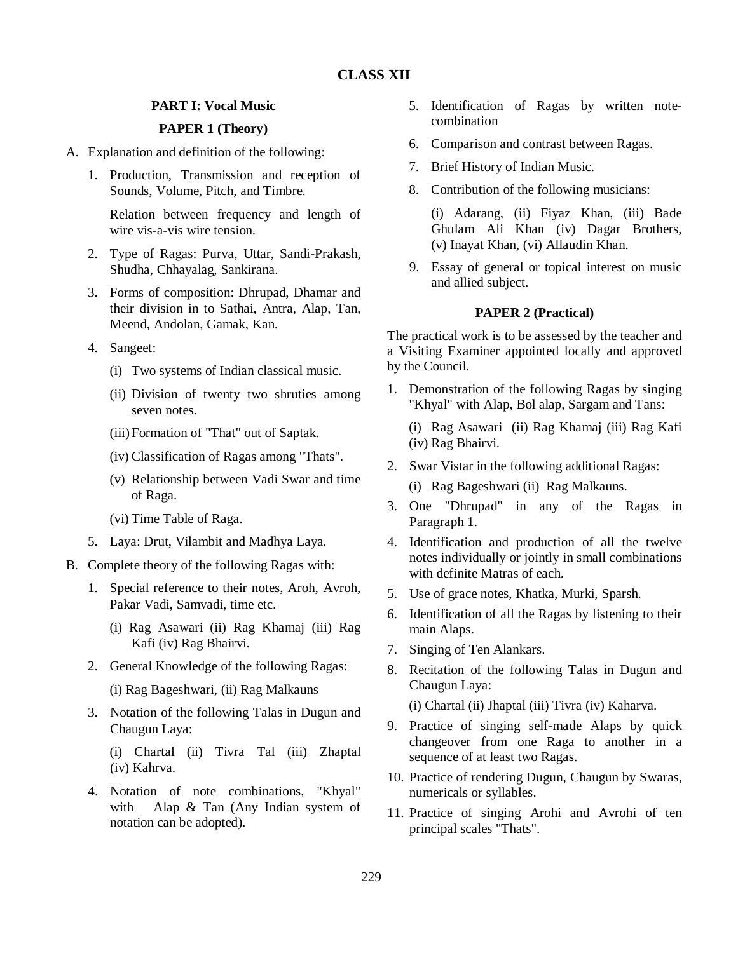## **PART I: Vocal Music**

## **PAPER 1 (Theory)**

- A. Explanation and definition of the following:
	- 1. Production, Transmission and reception of Sounds, Volume, Pitch, and Timbre.

Relation between frequency and length of wire vis-a-vis wire tension.

- 2. Type of Ragas: Purva, Uttar, Sandi-Prakash, Shudha, Chhayalag, Sankirana.
- 3. Forms of composition: Dhrupad, Dhamar and their division in to Sathai, Antra, Alap, Tan, Meend, Andolan, Gamak, Kan.
- 4. Sangeet:
	- (i) Two systems of Indian classical music.
	- (ii) Division of twenty two shruties among seven notes.
	- (iii)Formation of "That" out of Saptak.
	- (iv) Classification of Ragas among "Thats".
	- (v) Relationship between Vadi Swar and time of Raga.
	- (vi) Time Table of Raga.
- 5. Laya: Drut, Vilambit and Madhya Laya.
- B. Complete theory of the following Ragas with:
	- 1. Special reference to their notes, Aroh, Avroh, Pakar Vadi, Samvadi, time etc.
		- (i) Rag Asawari (ii) Rag Khamaj (iii) Rag Kafi (iv) Rag Bhairvi.
	- 2. General Knowledge of the following Ragas:
		- (i) Rag Bageshwari, (ii) Rag Malkauns
	- 3. Notation of the following Talas in Dugun and Chaugun Laya:

(i) Chartal (ii) Tivra Tal (iii) Zhaptal (iv) Kahrva.

4. Notation of note combinations, "Khyal" with Alap & Tan (Any Indian system of notation can be adopted).

- 5. Identification of Ragas by written notecombination
- 6. Comparison and contrast between Ragas.
- 7. Brief History of Indian Music.
- 8. Contribution of the following musicians:

(i) Adarang, (ii) Fiyaz Khan, (iii) Bade Ghulam Ali Khan (iv) Dagar Brothers, (v) Inayat Khan, (vi) Allaudin Khan.

9. Essay of general or topical interest on music and allied subject.

## **PAPER 2 (Practical)**

The practical work is to be assessed by the teacher and a Visiting Examiner appointed locally and approved by the Council.

1. Demonstration of the following Ragas by singing "Khyal" with Alap, Bol alap, Sargam and Tans:

(i) Rag Asawari (ii) Rag Khamaj (iii) Rag Kafi (iv) Rag Bhairvi.

- 2. Swar Vistar in the following additional Ragas:
	- (i) Rag Bageshwari (ii) Rag Malkauns.
- 3. One "Dhrupad" in any of the Ragas in Paragraph 1.
- 4. Identification and production of all the twelve notes individually or jointly in small combinations with definite Matras of each.
- 5. Use of grace notes, Khatka, Murki, Sparsh.
- 6. Identification of all the Ragas by listening to their main Alaps.
- 7. Singing of Ten Alankars.
- 8. Recitation of the following Talas in Dugun and Chaugun Laya:

(i) Chartal (ii) Jhaptal (iii) Tivra (iv) Kaharva.

- 9. Practice of singing self-made Alaps by quick changeover from one Raga to another in a sequence of at least two Ragas.
- 10. Practice of rendering Dugun, Chaugun by Swaras, numericals or syllables.
- 11. Practice of singing Arohi and Avrohi of ten principal scales "Thats".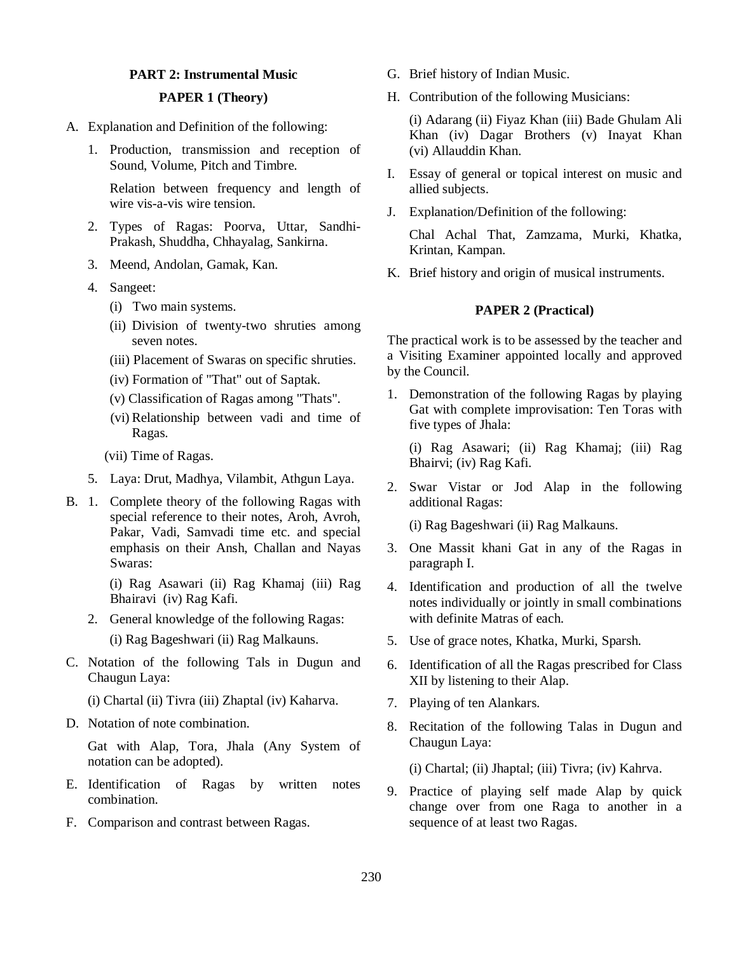## **PART 2: Instrumental Music**

## **PAPER 1 (Theory)**

- A. Explanation and Definition of the following:
	- 1. Production, transmission and reception of Sound, Volume, Pitch and Timbre.

Relation between frequency and length of wire vis-a-vis wire tension.

- 2. Types of Ragas: Poorva, Uttar, Sandhi-Prakash, Shuddha, Chhayalag, Sankirna.
- 3. Meend, Andolan, Gamak, Kan.
- 4. Sangeet:
	- (i) Two main systems.
	- (ii) Division of twenty-two shruties among seven notes.
	- (iii) Placement of Swaras on specific shruties.
	- (iv) Formation of "That" out of Saptak.
	- (v) Classification of Ragas among "Thats".
	- (vi) Relationship between vadi and time of Ragas.
	- (vii) Time of Ragas.
- 5. Laya: Drut, Madhya, Vilambit, Athgun Laya.
- B. 1. Complete theory of the following Ragas with special reference to their notes, Aroh, Avroh, Pakar, Vadi, Samvadi time etc. and special emphasis on their Ansh, Challan and Nayas Swaras:

(i) Rag Asawari (ii) Rag Khamaj (iii) Rag Bhairavi (iv) Rag Kafi.

- 2. General knowledge of the following Ragas:
	- (i) Rag Bageshwari (ii) Rag Malkauns.
- C. Notation of the following Tals in Dugun and Chaugun Laya:
	- (i) Chartal (ii) Tivra (iii) Zhaptal (iv) Kaharva.
- D. Notation of note combination.

Gat with Alap, Tora, Jhala (Any System of notation can be adopted).

- E. Identification of Ragas by written notes combination.
- F. Comparison and contrast between Ragas.
- G. Brief history of Indian Music.
- H. Contribution of the following Musicians:

(i) Adarang (ii) Fiyaz Khan (iii) Bade Ghulam Ali Khan (iv) Dagar Brothers (v) Inayat Khan (vi) Allauddin Khan.

- I. Essay of general or topical interest on music and allied subjects.
- J. Explanation/Definition of the following:

Chal Achal That, Zamzama, Murki, Khatka, Krintan, Kampan.

K. Brief history and origin of musical instruments.

## **PAPER 2 (Practical)**

The practical work is to be assessed by the teacher and a Visiting Examiner appointed locally and approved by the Council.

1. Demonstration of the following Ragas by playing Gat with complete improvisation: Ten Toras with five types of Jhala:

(i) Rag Asawari; (ii) Rag Khamaj; (iii) Rag Bhairvi; (iv) Rag Kafi.

2. Swar Vistar or Jod Alap in the following additional Ragas:

(i) Rag Bageshwari (ii) Rag Malkauns.

- 3. One Massit khani Gat in any of the Ragas in paragraph I.
- 4. Identification and production of all the twelve notes individually or jointly in small combinations with definite Matras of each.
- 5. Use of grace notes, Khatka, Murki, Sparsh.
- 6. Identification of all the Ragas prescribed for Class XII by listening to their Alap.
- 7. Playing of ten Alankars.
- 8. Recitation of the following Talas in Dugun and Chaugun Laya:
	- (i) Chartal; (ii) Jhaptal; (iii) Tivra; (iv) Kahrva.
- 9. Practice of playing self made Alap by quick change over from one Raga to another in a sequence of at least two Ragas.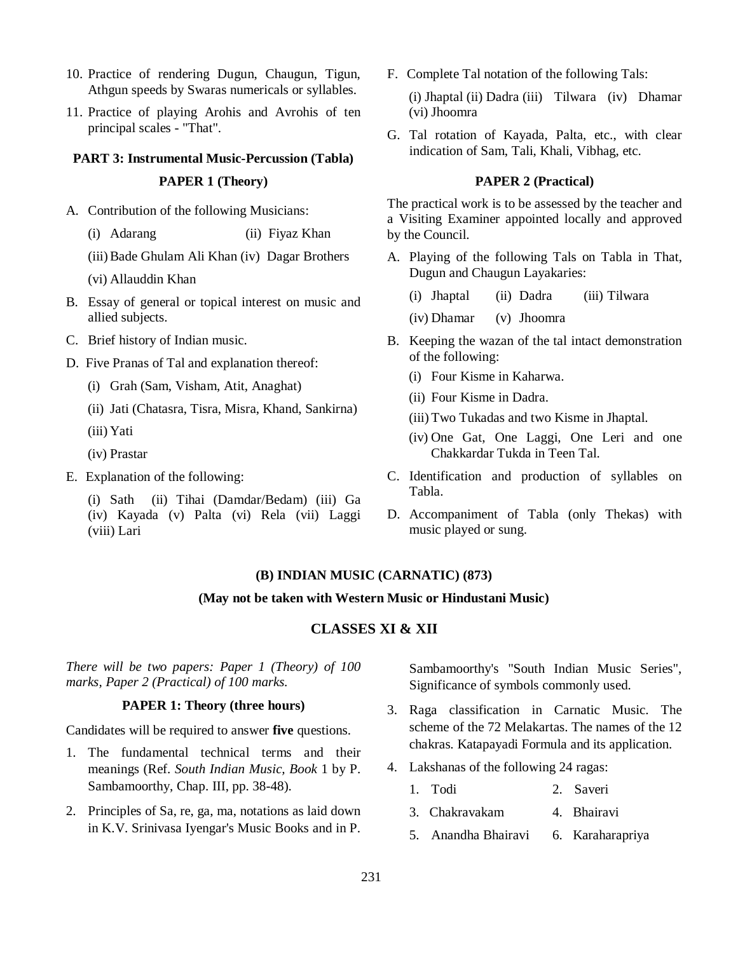- 10. Practice of rendering Dugun, Chaugun, Tigun, Athgun speeds by Swaras numericals or syllables.
- 11. Practice of playing Arohis and Avrohis of ten principal scales - "That".

# **PART 3: Instrumental Music-Percussion (Tabla) PAPER 1 (Theory)**

- A. Contribution of the following Musicians:
	- (i) Adarang (ii) Fiyaz Khan
	- (iii)Bade Ghulam Ali Khan (iv) Dagar Brothers
	- (vi) Allauddin Khan
- B. Essay of general or topical interest on music and allied subjects.
- C. Brief history of Indian music.
- D. Five Pranas of Tal and explanation thereof:
	- (i) Grah (Sam, Visham, Atit, Anaghat)
	- (ii) Jati (Chatasra, Tisra, Misra, Khand, Sankirna)
	- (iii) Yati
	- (iv) Prastar
- E. Explanation of the following:
	- (i) Sath (ii) Tihai (Damdar/Bedam) (iii) Ga (iv) Kayada (v) Palta (vi) Rela (vii) Laggi (viii) Lari

F. Complete Tal notation of the following Tals:

(i) Jhaptal (ii) Dadra (iii) Tilwara (iv) Dhamar (vi) Jhoomra

G. Tal rotation of Kayada, Palta, etc., with clear indication of Sam, Tali, Khali, Vibhag, etc.

## **PAPER 2 (Practical)**

The practical work is to be assessed by the teacher and a Visiting Examiner appointed locally and approved by the Council.

- A. Playing of the following Tals on Tabla in That, Dugun and Chaugun Layakaries:
	- (i) Jhaptal (ii) Dadra (iii) Tilwara
	- (iv) Dhamar (v) Jhoomra
- B. Keeping the wazan of the tal intact demonstration of the following:
	- (i) Four Kisme in Kaharwa.
	- (ii) Four Kisme in Dadra.
	- (iii) Two Tukadas and two Kisme in Jhaptal.
	- (iv) One Gat, One Laggi, One Leri and one Chakkardar Tukda in Teen Tal.
- C. Identification and production of syllables on Tabla.
- D. Accompaniment of Tabla (only Thekas) with music played or sung.

## **(B) INDIAN MUSIC (CARNATIC) (873)**

## **(May not be taken with Western Music or Hindustani Music)**

## **CLASSES XI & XII**

*There will be two papers: Paper 1 (Theory) of 100 marks, Paper 2 (Practical) of 100 marks.*

## **PAPER 1: Theory (three hours)**

Candidates will be required to answer **five** questions.

- 1. The fundamental technical terms and their meanings (Ref. *South Indian Music, Book* 1 by P. Sambamoorthy, Chap. III, pp. 38-48).
- 2. Principles of Sa, re, ga, ma, notations as laid down in K.V. Srinivasa Iyengar's Music Books and in P.

Sambamoorthy's "South Indian Music Series", Significance of symbols commonly used.

- 3. Raga classification in Carnatic Music. The scheme of the 72 Melakartas. The names of the 12 chakras. Katapayadi Formula and its application.
- 4. Lakshanas of the following 24 ragas:
	- 1. Todi 2. Saveri
	- 3. Chakravakam 4. Bhairavi
	- 5. Anandha Bhairavi 6. Karaharapriya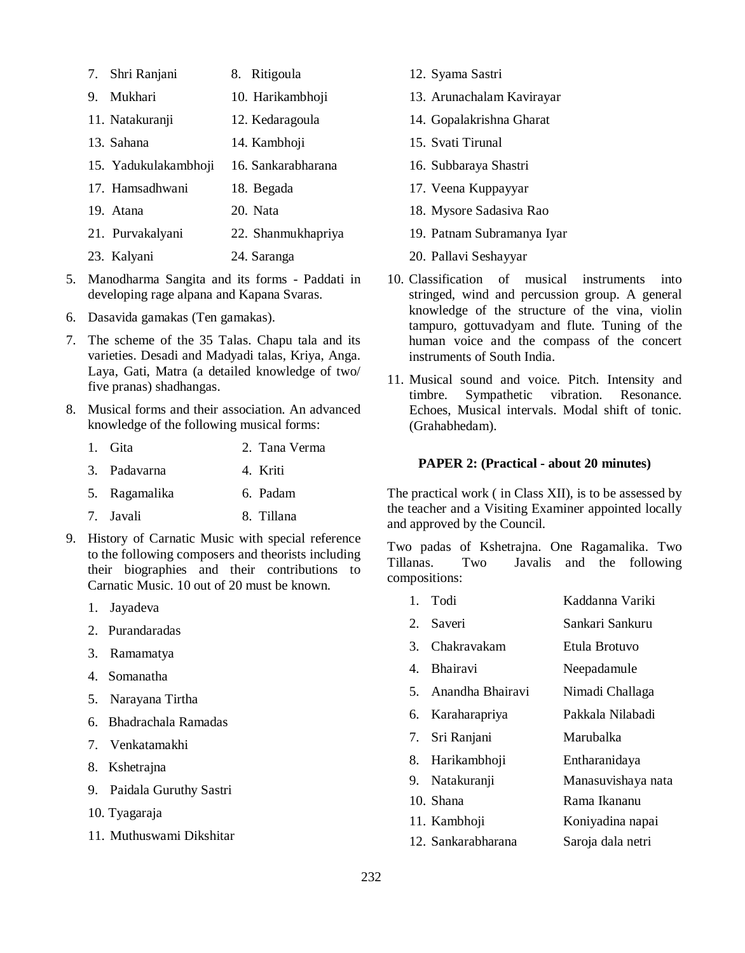- 7. Shri Ranjani 8. Ritigoula 9. Mukhari 10. Harikambhoji 11. Natakuranji 12. Kedaragoula 13. Sahana 14. Kambhoji 15. Yadukulakambhoji 16. Sankarabharana 17. Hamsadhwani 18. Begada 19. Atana 20. Nata 21. Purvakalyani 22. Shanmukhapriya
- 23. Kalyani 24. Saranga
- 5. Manodharma Sangita and its forms Paddati in developing rage alpana and Kapana Svaras.
- 6. Dasavida gamakas (Ten gamakas).
- 7. The scheme of the 35 Talas. Chapu tala and its varieties. Desadi and Madyadi talas, Kriya, Anga. Laya, Gati, Matra (a detailed knowledge of two/ five pranas) shadhangas.
- 8. Musical forms and their association. An advanced knowledge of the following musical forms:
	- 1. Gita 2. Tana Verma
	- 3. Padavarna 4. Kriti

5. Ragamalika 6. Padam

- 7. Javali 8. Tillana
- 9. History of Carnatic Music with special reference to the following composers and theorists including their biographies and their contributions to Carnatic Music. 10 out of 20 must be known.
	- 1. Jayadeva
	- 2. Purandaradas
	- 3. Ramamatya
	- 4. Somanatha
	- 5. Narayana Tirtha
	- 6. Bhadrachala Ramadas
	- 7. Venkatamakhi
	- 8. Kshetrajna
	- 9. Paidala Guruthy Sastri
	- 10. Tyagaraja
	- 11. Muthuswami Dikshitar
- 12. Syama Sastri
- 13. Arunachalam Kavirayar
- 14. Gopalakrishna Gharat
- 15. Svati Tirunal
- 16. Subbaraya Shastri
- 17. Veena Kuppayyar
- 18. Mysore Sadasiva Rao
- 19. Patnam Subramanya Iyar
- 20. Pallavi Seshayyar
- 10. Classification of musical instruments into stringed, wind and percussion group. A general knowledge of the structure of the vina, violin tampuro, gottuvadyam and flute. Tuning of the human voice and the compass of the concert instruments of South India.
- 11. Musical sound and voice. Pitch. Intensity and timbre. Sympathetic vibration. Resonance. Echoes, Musical intervals. Modal shift of tonic. (Grahabhedam).

#### **PAPER 2: (Practical - about 20 minutes)**

The practical work ( in Class XII), is to be assessed by the teacher and a Visiting Examiner appointed locally and approved by the Council.

Two padas of Kshetrajna. One Ragamalika. Two Tillanas. Two Javalis and the following compositions:

- 1. Todi Kaddanna Variki
- 2. Saveri Sankari Sankuru
- 3. Chakravakam Etula Brotuvo
- 4. Bhairavi Neepadamule
- 5. Anandha Bhairavi Nimadi Challaga
- 6. Karaharapriya Pakkala Nilabadi
- 7. Sri Ranjani Marubalka
- 8. Harikambhoji Entharanidaya
- 9. Natakuranji Manasuvishaya nata
- 10. Shana **Rama Ikananu**
- 11. Kambhoji Koniyadina napai
- 12. Sankarabharana Saroja dala netri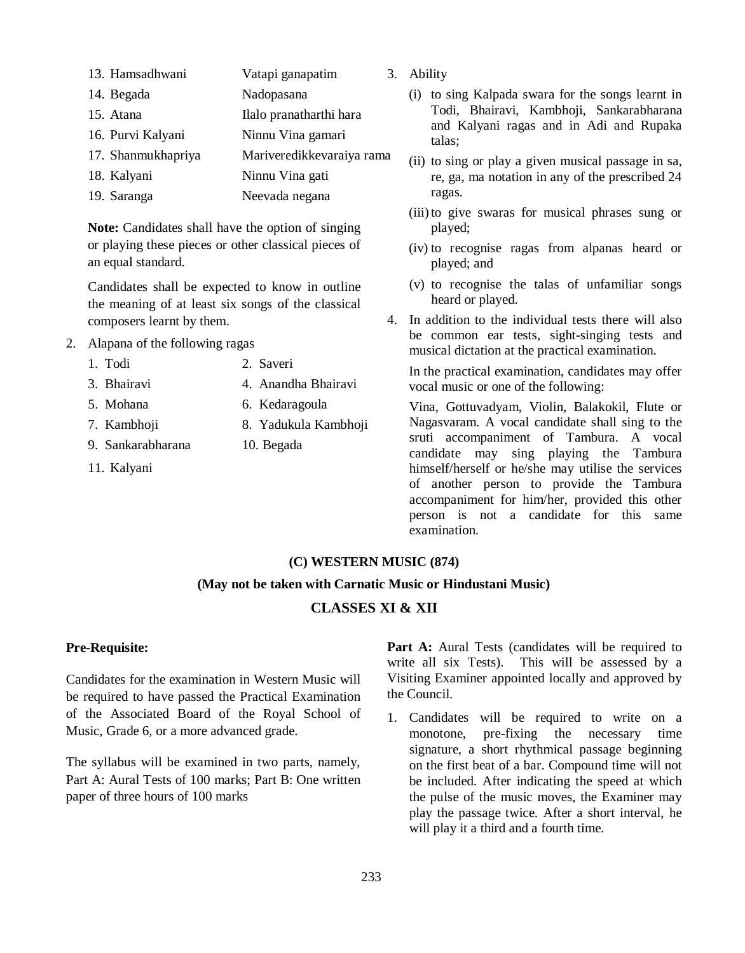- 13. Hamsadhwani Vatapi ganapatim 14. Begada Nadopasana
- 15. Atana Ilalo pranatharthi hara 16. Purvi Kalyani Ninnu Vina gamari 17. Shanmukhapriya Mariveredikkevaraiya rama
- 18. Kalyani Ninnu Vina gati
- 19. Saranga Neevada negana

**Note:** Candidates shall have the option of singing or playing these pieces or other classical pieces of an equal standard.

Candidates shall be expected to know in outline the meaning of at least six songs of the classical composers learnt by them.

- 2. Alapana of the following ragas
	- 1. Todi 2. Saveri
	- 3. Bhairavi 4. Anandha Bhairavi
	- 5. Mohana 6. Kedaragoula
	- 7. Kambhoji 8. Yadukula Kambhoji
	- 9. Sankarabharana 10. Begada
	- 11. Kalyani
- 3. Ability
	- (i) to sing Kalpada swara for the songs learnt in Todi, Bhairavi, Kambhoji, Sankarabharana and Kalyani ragas and in Adi and Rupaka talas;
	- (ii) to sing or play a given musical passage in sa, re, ga, ma notation in any of the prescribed 24 ragas.
	- (iii)to give swaras for musical phrases sung or played;
	- (iv) to recognise ragas from alpanas heard or played; and
	- (v) to recognise the talas of unfamiliar songs heard or played.
- 4. In addition to the individual tests there will also be common ear tests, sight-singing tests and musical dictation at the practical examination.

In the practical examination, candidates may offer vocal music or one of the following:

Vina, Gottuvadyam, Violin, Balakokil, Flute or Nagasvaram. A vocal candidate shall sing to the sruti accompaniment of Tambura. A vocal candidate may sing playing the Tambura himself/herself or he/she may utilise the services of another person to provide the Tambura accompaniment for him/her, provided this other person is not a candidate for this same examination.

## **(C) WESTERN MUSIC (874)**

## **(May not be taken with Carnatic Music or Hindustani Music)**

# **CLASSES XI & XII**

## **Pre-Requisite:**

Candidates for the examination in Western Music will be required to have passed the Practical Examination of the Associated Board of the Royal School of Music, Grade 6, or a more advanced grade.

The syllabus will be examined in two parts, namely, Part A: Aural Tests of 100 marks; Part B: One written paper of three hours of 100 marks

Part A: Aural Tests (candidates will be required to write all six Tests). This will be assessed by a Visiting Examiner appointed locally and approved by the Council.

1. Candidates will be required to write on a monotone, pre-fixing the necessary time signature, a short rhythmical passage beginning on the first beat of a bar. Compound time will not be included. After indicating the speed at which the pulse of the music moves, the Examiner may play the passage twice. After a short interval, he will play it a third and a fourth time.